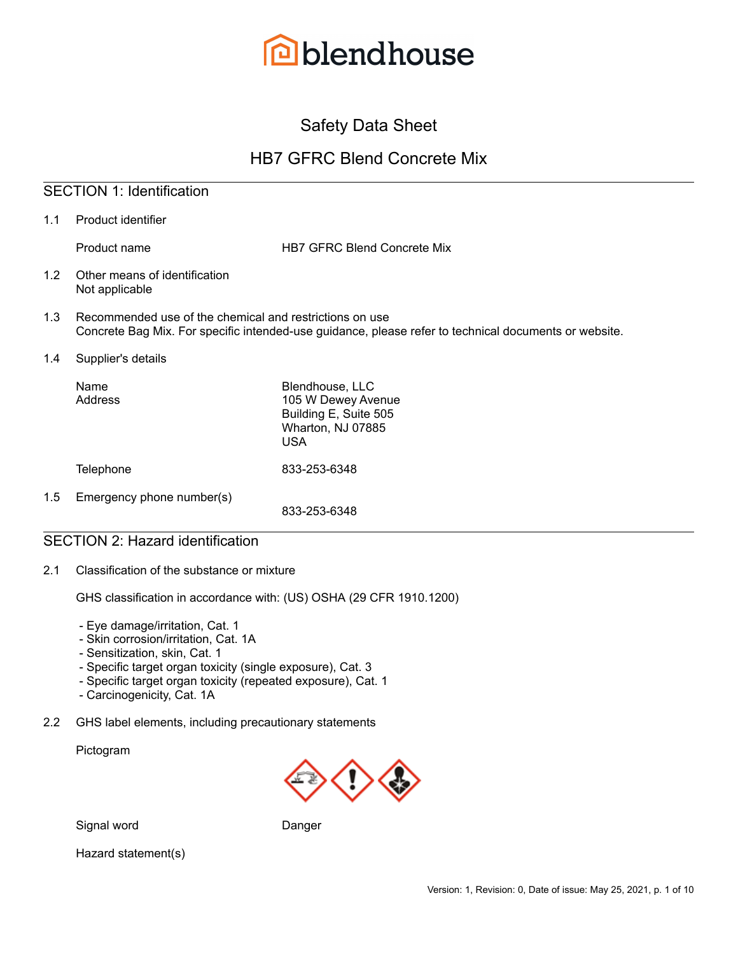

# Safety Data Sheet

# HB7 GFRC Blend Concrete Mix

# SECTION 1: Identification

1.1 Product identifier

Product name **HB7 GFRC Blend Concrete Mix** 

- 1.2 Other means of identification Not applicable
- 1.3 Recommended use of the chemical and restrictions on use Concrete Bag Mix. For specific intended-use guidance, please refer to technical documents or website.
- 1.4 Supplier's details

|     | Name<br>Address           | Blendhouse, LLC<br>105 W Dewey Avenue<br>Building E, Suite 505<br>Wharton, NJ 07885<br><b>USA</b> |
|-----|---------------------------|---------------------------------------------------------------------------------------------------|
|     | <b>Telephone</b>          | 833-253-6348                                                                                      |
| 1.5 | Emergency phone number(s) | 833-253-6348                                                                                      |

## SECTION 2: Hazard identification

2.1 Classification of the substance or mixture

GHS classification in accordance with: (US) OSHA (29 CFR 1910.1200)

- Eye damage/irritation, Cat. 1
- Skin corrosion/irritation, Cat. 1A
- Sensitization, skin, Cat. 1
- Specific target organ toxicity (single exposure), Cat. 3
- Specific target organ toxicity (repeated exposure), Cat. 1
- Carcinogenicity, Cat. 1A
- 2.2 GHS label elements, including precautionary statements

Pictogram



Signal word Danger

Hazard statement(s)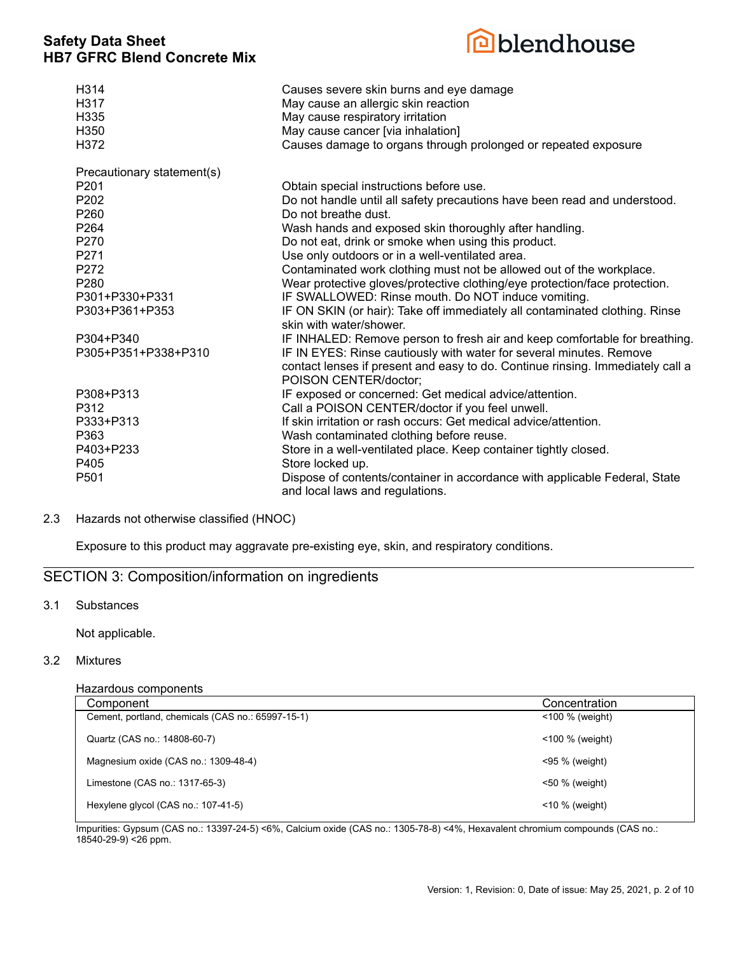

| H314<br>H317<br>H335<br>H <sub>350</sub><br>H372 | Causes severe skin burns and eye damage<br>May cause an allergic skin reaction<br>May cause respiratory irritation<br>May cause cancer [via inhalation]<br>Causes damage to organs through prolonged or repeated exposure |
|--------------------------------------------------|---------------------------------------------------------------------------------------------------------------------------------------------------------------------------------------------------------------------------|
| Precautionary statement(s)                       |                                                                                                                                                                                                                           |
| P201                                             | Obtain special instructions before use.                                                                                                                                                                                   |
| P202<br>P260                                     | Do not handle until all safety precautions have been read and understood.<br>Do not breathe dust.                                                                                                                         |
| P <sub>264</sub>                                 | Wash hands and exposed skin thoroughly after handling.                                                                                                                                                                    |
| P270                                             | Do not eat, drink or smoke when using this product.                                                                                                                                                                       |
| P271                                             | Use only outdoors or in a well-ventilated area.                                                                                                                                                                           |
| P272                                             | Contaminated work clothing must not be allowed out of the workplace.                                                                                                                                                      |
| P <sub>280</sub>                                 | Wear protective gloves/protective clothing/eye protection/face protection.                                                                                                                                                |
| P301+P330+P331                                   | IF SWALLOWED: Rinse mouth. Do NOT induce vomiting.                                                                                                                                                                        |
| P303+P361+P353                                   | IF ON SKIN (or hair): Take off immediately all contaminated clothing. Rinse<br>skin with water/shower.                                                                                                                    |
| P304+P340                                        | IF INHALED: Remove person to fresh air and keep comfortable for breathing.                                                                                                                                                |
| P305+P351+P338+P310                              | IF IN EYES: Rinse cautiously with water for several minutes. Remove<br>contact lenses if present and easy to do. Continue rinsing. Immediately call a<br>POISON CENTER/doctor;                                            |
| P308+P313                                        | IF exposed or concerned: Get medical advice/attention.                                                                                                                                                                    |
| P312                                             | Call a POISON CENTER/doctor if you feel unwell.                                                                                                                                                                           |
| P333+P313                                        | If skin irritation or rash occurs: Get medical advice/attention.                                                                                                                                                          |
| P363                                             | Wash contaminated clothing before reuse.                                                                                                                                                                                  |
| P403+P233                                        | Store in a well-ventilated place. Keep container tightly closed.                                                                                                                                                          |
| P405                                             | Store locked up.                                                                                                                                                                                                          |
| P501                                             | Dispose of contents/container in accordance with applicable Federal, State<br>and local laws and regulations.                                                                                                             |

#### 2.3 Hazards not otherwise classified (HNOC)

Exposure to this product may aggravate pre-existing eye, skin, and respiratory conditions.

### SECTION 3: Composition/information on ingredients

#### 3.1 Substances

Not applicable.

#### 3.2 Mixtures

#### Hazardous components

| Component                                         | Concentration      |
|---------------------------------------------------|--------------------|
| Cement, portland, chemicals (CAS no.: 65997-15-1) | $<$ 100 % (weight) |
| Quartz (CAS no.: 14808-60-7)                      | $<$ 100 % (weight) |
| Magnesium oxide (CAS no.: 1309-48-4)              | <95 % (weight)     |
| Limestone (CAS no.: 1317-65-3)                    | $<$ 50 % (weight)  |
| Hexylene glycol (CAS no.: 107-41-5)               | $<$ 10 % (weight)  |
|                                                   |                    |

Impurities: Gypsum (CAS no.: 13397-24-5) <6%, Calcium oxide (CAS no.: 1305-78-8) <4%, Hexavalent chromium compounds (CAS no.: 18540-29-9) <26 ppm.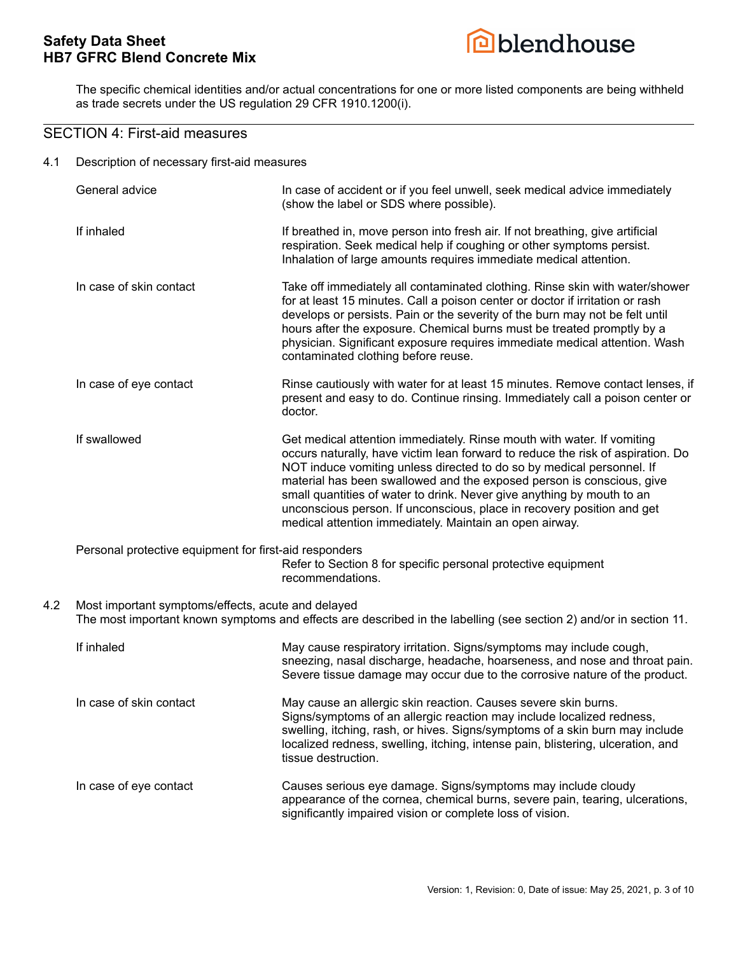

The specific chemical identities and/or actual concentrations for one or more listed components are being withheld as trade secrets under the US regulation 29 CFR 1910.1200(i).

### SECTION 4: First-aid measures

4.1 Description of necessary first-aid measures

|     | General advice                                                                                                                                                           | In case of accident or if you feel unwell, seek medical advice immediately<br>(show the label or SDS where possible).                                                                                                                                                                                                                                                                                                                                                                                                      |
|-----|--------------------------------------------------------------------------------------------------------------------------------------------------------------------------|----------------------------------------------------------------------------------------------------------------------------------------------------------------------------------------------------------------------------------------------------------------------------------------------------------------------------------------------------------------------------------------------------------------------------------------------------------------------------------------------------------------------------|
|     | If inhaled                                                                                                                                                               | If breathed in, move person into fresh air. If not breathing, give artificial<br>respiration. Seek medical help if coughing or other symptoms persist.<br>Inhalation of large amounts requires immediate medical attention.                                                                                                                                                                                                                                                                                                |
|     | In case of skin contact                                                                                                                                                  | Take off immediately all contaminated clothing. Rinse skin with water/shower<br>for at least 15 minutes. Call a poison center or doctor if irritation or rash<br>develops or persists. Pain or the severity of the burn may not be felt until<br>hours after the exposure. Chemical burns must be treated promptly by a<br>physician. Significant exposure requires immediate medical attention. Wash<br>contaminated clothing before reuse.                                                                               |
|     | In case of eye contact                                                                                                                                                   | Rinse cautiously with water for at least 15 minutes. Remove contact lenses, if<br>present and easy to do. Continue rinsing. Immediately call a poison center or<br>doctor.                                                                                                                                                                                                                                                                                                                                                 |
|     | If swallowed                                                                                                                                                             | Get medical attention immediately. Rinse mouth with water. If vomiting<br>occurs naturally, have victim lean forward to reduce the risk of aspiration. Do<br>NOT induce vomiting unless directed to do so by medical personnel. If<br>material has been swallowed and the exposed person is conscious, give<br>small quantities of water to drink. Never give anything by mouth to an<br>unconscious person. If unconscious, place in recovery position and get<br>medical attention immediately. Maintain an open airway. |
|     | Personal protective equipment for first-aid responders                                                                                                                   | Refer to Section 8 for specific personal protective equipment<br>recommendations.                                                                                                                                                                                                                                                                                                                                                                                                                                          |
| 4.2 | Most important symptoms/effects, acute and delayed<br>The most important known symptoms and effects are described in the labelling (see section 2) and/or in section 11. |                                                                                                                                                                                                                                                                                                                                                                                                                                                                                                                            |
|     | If inhaled                                                                                                                                                               | May cause respiratory irritation. Signs/symptoms may include cough,<br>sneezing, nasal discharge, headache, hoarseness, and nose and throat pain.<br>Severe tissue damage may occur due to the corrosive nature of the product.                                                                                                                                                                                                                                                                                            |
|     | In case of skin contact                                                                                                                                                  | May cause an allergic skin reaction. Causes severe skin burns.<br>Signs/symptoms of an allergic reaction may include localized redness,<br>swelling, itching, rash, or hives. Signs/symptoms of a skin burn may include<br>localized redness, swelling, itching, intense pain, blistering, ulceration, and<br>tissue destruction.                                                                                                                                                                                          |
|     | In case of eye contact                                                                                                                                                   | Causes serious eye damage. Signs/symptoms may include cloudy<br>appearance of the cornea, chemical burns, severe pain, tearing, ulcerations,<br>significantly impaired vision or complete loss of vision.                                                                                                                                                                                                                                                                                                                  |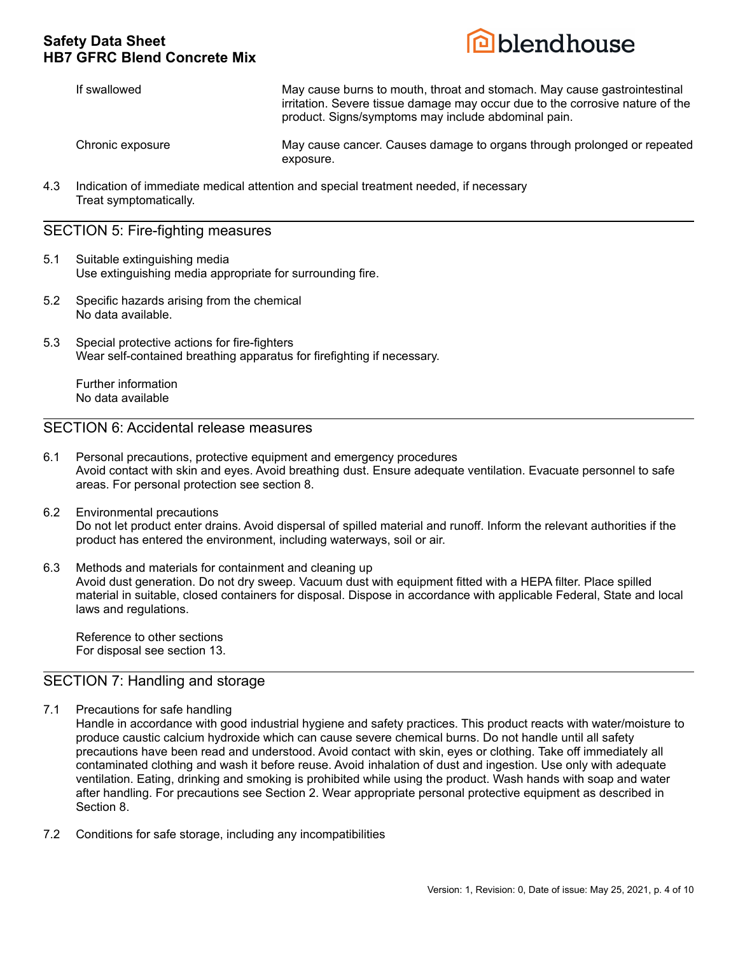

If swallowed **May cause burns to mouth, throat and stomach**. May cause gastrointestinal irritation. Severe tissue damage may occur due to the corrosive nature of the product. Signs/symptoms may include abdominal pain.

Chronic exposure May cause cancer. Causes damage to organs through prolonged or repeated exposure.

4.3 Indication of immediate medical attention and special treatment needed, if necessary Treat symptomatically.

#### SECTION 5: Fire-fighting measures

- 5.1 Suitable extinguishing media Use extinguishing media appropriate for surrounding fire.
- 5.2 Specific hazards arising from the chemical No data available.
- 5.3 Special protective actions for fire-fighters Wear self-contained breathing apparatus for firefighting if necessary.

Further information No data available

### SECTION 6: Accidental release measures

- 6.1 Personal precautions, protective equipment and emergency procedures Avoid contact with skin and eyes. Avoid breathing dust. Ensure adequate ventilation. Evacuate personnel to safe areas. For personal protection see section 8.
- 6.2 Environmental precautions Do not let product enter drains. Avoid dispersal of spilled material and runoff. Inform the relevant authorities if the product has entered the environment, including waterways, soil or air.
- 6.3 Methods and materials for containment and cleaning up Avoid dust generation. Do not dry sweep. Vacuum dust with equipment fitted with a HEPA filter. Place spilled material in suitable, closed containers for disposal. Dispose in accordance with applicable Federal, State and local laws and regulations.

Reference to other sections For disposal see section 13.

### SECTION 7: Handling and storage

7.1 Precautions for safe handling

Handle in accordance with good industrial hygiene and safety practices. This product reacts with water/moisture to produce caustic calcium hydroxide which can cause severe chemical burns. Do not handle until all safety precautions have been read and understood. Avoid contact with skin, eyes or clothing. Take off immediately all contaminated clothing and wash it before reuse. Avoid inhalation of dust and ingestion. Use only with adequate ventilation. Eating, drinking and smoking is prohibited while using the product. Wash hands with soap and water after handling. For precautions see Section 2. Wear appropriate personal protective equipment as described in Section 8.

7.2 Conditions for safe storage, including any incompatibilities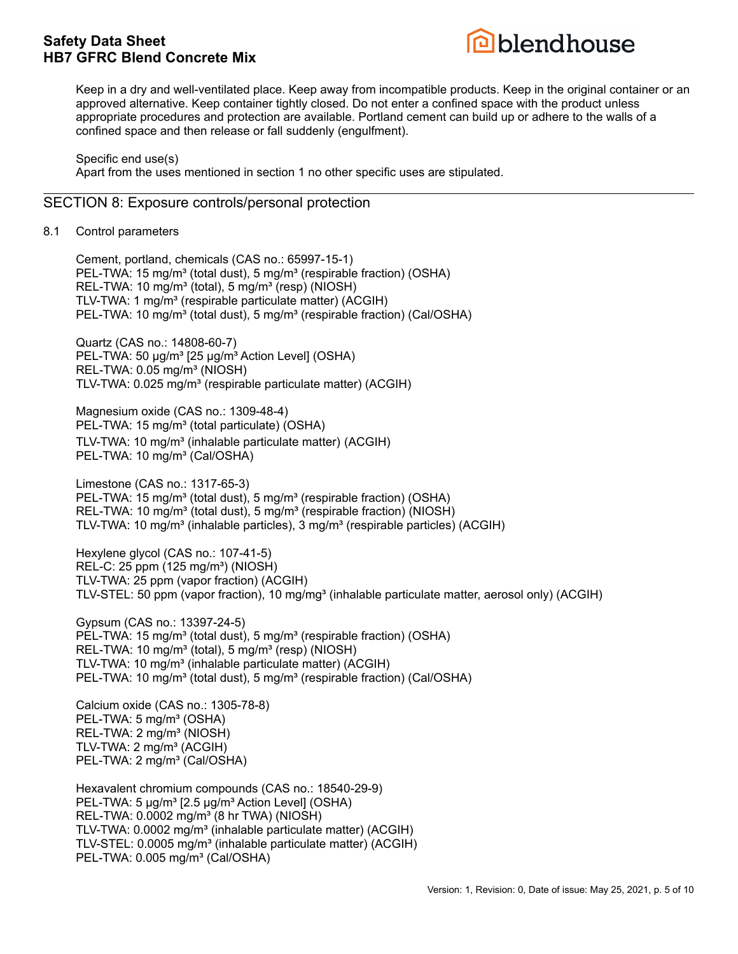

Keep in a dry and well-ventilated place. Keep away from incompatible products. Keep in the original container or an approved alternative. Keep container tightly closed. Do not enter a confined space with the product unless appropriate procedures and protection are available. Portland cement can build up or adhere to the walls of a confined space and then release or fall suddenly (engulfment).

Specific end use(s)

Apart from the uses mentioned in section 1 no other specific uses are stipulated.

#### SECTION 8: Exposure controls/personal protection

8.1 Control parameters

Cement, portland, chemicals (CAS no.: 65997-15-1) PEL-TWA: 15 mg/m<sup>3</sup> (total dust), 5 mg/m<sup>3</sup> (respirable fraction) (OSHA) REL-TWA: 10 mg/m<sup>3</sup> (total), 5 mg/m<sup>3</sup> (resp) (NIOSH) TLV-TWA: 1 mg/m<sup>3</sup> (respirable particulate matter) (ACGIH) PEL-TWA: 10 mg/m<sup>3</sup> (total dust), 5 mg/m<sup>3</sup> (respirable fraction) (Cal/OSHA)

Quartz (CAS no.: 14808-60-7) PEL-TWA: 50 µg/m<sup>3</sup> [25 µg/m<sup>3</sup> Action Level] (OSHA) REL-TWA: 0.05 mg/m<sup>3</sup> (NIOSH) TLV-TWA: 0.025 mg/m<sup>3</sup> (respirable particulate matter) (ACGIH)

Magnesium oxide (CAS no.: 1309-48-4) PEL-TWA: 15 mg/m<sup>3</sup> (total particulate) (OSHA) TLV-TWA: 10 mg/m<sup>3</sup> (inhalable particulate matter) (ACGIH) PEL-TWA: 10 mg/m<sup>3</sup> (Cal/OSHA)

Limestone (CAS no.: 1317-65-3) PEL-TWA: 15 mg/m<sup>3</sup> (total dust), 5 mg/m<sup>3</sup> (respirable fraction) (OSHA) REL-TWA: 10 mg/m<sup>3</sup> (total dust), 5 mg/m<sup>3</sup> (respirable fraction) (NIOSH) TLV-TWA: 10 mg/m<sup>3</sup> (inhalable particles), 3 mg/m<sup>3</sup> (respirable particles) (ACGIH)

Hexylene glycol (CAS no.: 107-41-5) REL-C: 25 ppm (125 mg/m<sup>3</sup>) (NIOSH) TLV-TWA: 25 ppm (vapor fraction) (ACGIH) TLV-STEL: 50 ppm (vapor fraction), 10 mg/mg<sup>3</sup> (inhalable particulate matter, aerosol only) (ACGIH)

Gypsum (CAS no.: 13397-24-5) PEL-TWA: 15 mg/m<sup>3</sup> (total dust), 5 mg/m<sup>3</sup> (respirable fraction) (OSHA) REL-TWA: 10 mg/m<sup>3</sup> (total), 5 mg/m<sup>3</sup> (resp) (NIOSH) TLV-TWA: 10 mg/m<sup>3</sup> (inhalable particulate matter) (ACGIH) PEL-TWA: 10 mg/m<sup>3</sup> (total dust), 5 mg/m<sup>3</sup> (respirable fraction) (Cal/OSHA)

Calcium oxide (CAS no.: 1305-78-8) PEL-TWA: 5 mg/m<sup>3</sup> (OSHA) REL-TWA: 2 mg/m<sup>3</sup> (NIOSH) TLV-TWA: 2 mg/m<sup>3</sup> (ACGIH) PEL-TWA: 2 mg/m<sup>3</sup> (Cal/OSHA)

Hexavalent chromium compounds (CAS no.: 18540-29-9) PEL-TWA: 5 µg/m<sup>3</sup> [2.5 µg/m<sup>3</sup> Action Level] (OSHA) REL-TWA:  $0.0002$  mg/m<sup>3</sup> (8 hr TWA) (NIOSH) TLV-TWA: 0.0002 mg/m<sup>3</sup> (inhalable particulate matter) (ACGIH) TLV-STEL: 0.0005 mg/m<sup>3</sup> (inhalable particulate matter) (ACGIH) PEL-TWA: 0.005 mg/m<sup>3</sup> (Cal/OSHA)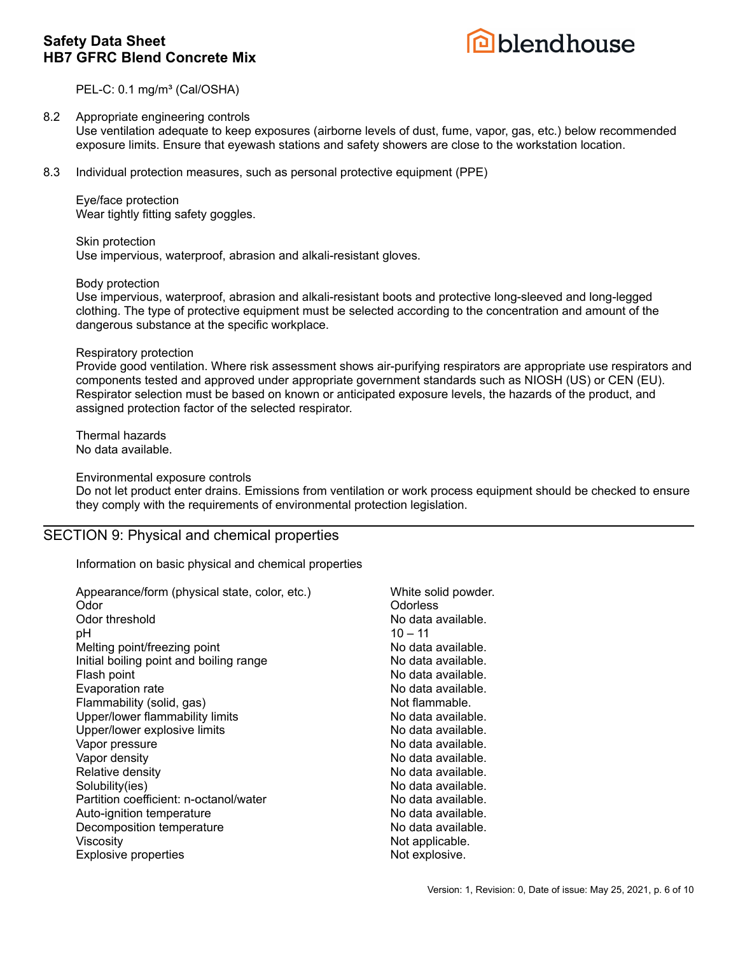

PEL-C: 0.1 mg/m<sup>3</sup> (Cal/OSHA)

#### 8.2 Appropriate engineering controls Use ventilation adequate to keep exposures (airborne levels of dust, fume, vapor, gas, etc.) below recommended exposure limits. Ensure that eyewash stations and safety showers are close to the workstation location.

8.3 Individual protection measures, such as personal protective equipment (PPE)

Eye/face protection Wear tightly fitting safety goggles.

Skin protection Use impervious, waterproof, abrasion and alkali-resistant gloves.

Body protection

Use impervious, waterproof, abrasion and alkali-resistant boots and protective long-sleeved and long-legged clothing. The type of protective equipment must be selected according to the concentration and amount of the dangerous substance at the specific workplace.

#### Respiratory protection

Provide good ventilation. Where risk assessment shows air-purifying respirators are appropriate use respirators and components tested and approved under appropriate government standards such as NIOSH (US) or CEN (EU). Respirator selection must be based on known or anticipated exposure levels, the hazards of the product, and assigned protection factor of the selected respirator.

Thermal hazards No data available.

Environmental exposure controls

Do not let product enter drains. Emissions from ventilation or work process equipment should be checked to ensure they comply with the requirements of environmental protection legislation.

### SECTION 9: Physical and chemical properties

Information on basic physical and chemical properties

| Appearance/form (physical state, color, etc.) | White solid powder. |
|-----------------------------------------------|---------------------|
| Odor                                          | Odorless            |
| Odor threshold                                | No data available.  |
| рH                                            | $10 - 11$           |
| Melting point/freezing point                  | No data available.  |
| Initial boiling point and boiling range       | No data available.  |
| Flash point                                   | No data available.  |
| Evaporation rate                              | No data available.  |
| Flammability (solid, gas)                     | Not flammable.      |
| Upper/lower flammability limits               | No data available.  |
| Upper/lower explosive limits                  | No data available.  |
| Vapor pressure                                | No data available.  |
| Vapor density                                 | No data available.  |
| Relative density                              | No data available.  |
| Solubility(ies)                               | No data available.  |
| Partition coefficient: n-octanol/water        | No data available.  |
| Auto-ignition temperature                     | No data available.  |
| Decomposition temperature                     | No data available.  |
| Viscosity                                     | Not applicable.     |
| <b>Explosive properties</b>                   | Not explosive.      |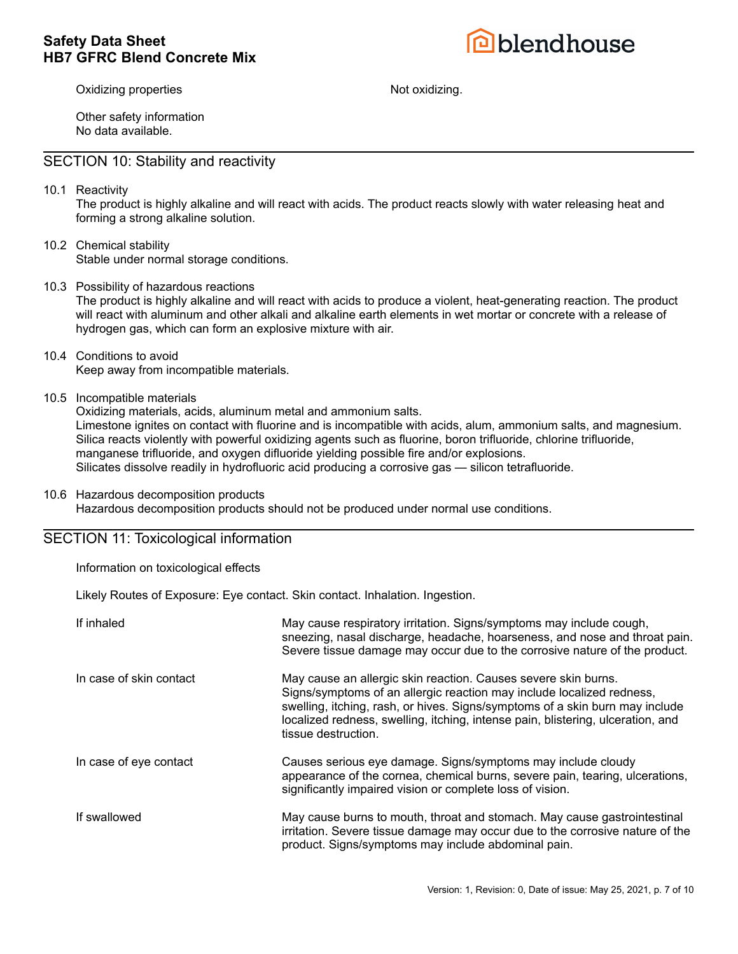

Oxidizing properties **Not oxidizing.** Not oxidizing.

Other safety information No data available.

### SECTION 10: Stability and reactivity

10.1 Reactivity

The product is highly alkaline and will react with acids. The product reacts slowly with water releasing heat and forming a strong alkaline solution.

- 10.2 Chemical stability Stable under normal storage conditions.
- 10.3 Possibility of hazardous reactions The product is highly alkaline and will react with acids to produce a violent, heat-generating reaction. The product will react with aluminum and other alkali and alkaline earth elements in wet mortar or concrete with a release of hydrogen gas, which can form an explosive mixture with air.
- 10.4 Conditions to avoid Keep away from incompatible materials.
- 10.5 Incompatible materials

Oxidizing materials, acids, aluminum metal and ammonium salts. Limestone ignites on contact with fluorine and is incompatible with acids, alum, ammonium salts, and magnesium. Silica reacts violently with powerful oxidizing agents such as fluorine, boron trifluoride, chlorine trifluoride, manganese trifluoride, and oxygen difluoride yielding possible fire and/or explosions. Silicates dissolve readily in hydrofluoric acid producing a corrosive gas — silicon tetrafluoride.

10.6 Hazardous decomposition products

Hazardous decomposition products should not be produced under normal use conditions.

### SECTION 11: Toxicological information

Information on toxicological effects

Likely Routes of Exposure: Eye contact. Skin contact. Inhalation. Ingestion.

| If inhaled              | May cause respiratory irritation. Signs/symptoms may include cough,<br>sneezing, nasal discharge, headache, hoarseness, and nose and throat pain.<br>Severe tissue damage may occur due to the corrosive nature of the product.                                                                                                   |
|-------------------------|-----------------------------------------------------------------------------------------------------------------------------------------------------------------------------------------------------------------------------------------------------------------------------------------------------------------------------------|
| In case of skin contact | May cause an allergic skin reaction. Causes severe skin burns.<br>Signs/symptoms of an allergic reaction may include localized redness,<br>swelling, itching, rash, or hives. Signs/symptoms of a skin burn may include<br>localized redness, swelling, itching, intense pain, blistering, ulceration, and<br>tissue destruction. |
| In case of eye contact  | Causes serious eye damage. Signs/symptoms may include cloudy<br>appearance of the cornea, chemical burns, severe pain, tearing, ulcerations,<br>significantly impaired vision or complete loss of vision.                                                                                                                         |
| If swallowed            | May cause burns to mouth, throat and stomach. May cause gastrointestinal<br>irritation. Severe tissue damage may occur due to the corrosive nature of the<br>product. Signs/symptoms may include abdominal pain.                                                                                                                  |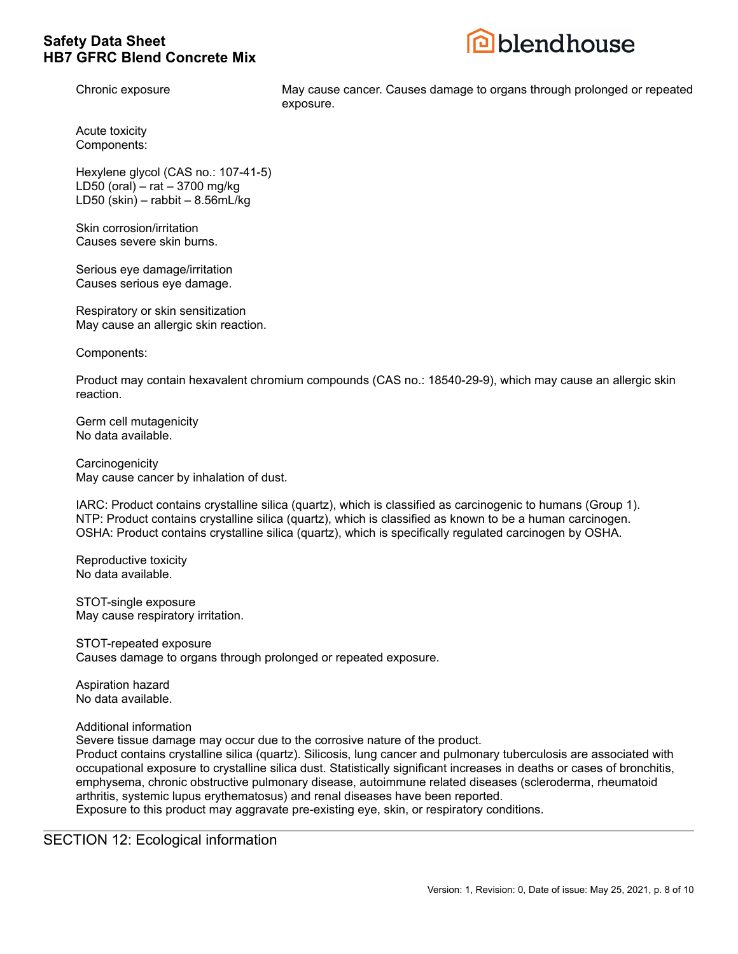

Chronic exposure May cause cancer. Causes damage to organs through prolonged or repeated exposure.

Acute toxicity Components:

Hexylene glycol (CAS no.: 107-41-5) LD50 (oral) – rat – 3700 mg/kg LD50 (skin) – rabbit –  $8.56$ mL/kg

Skin corrosion/irritation Causes severe skin burns.

Serious eye damage/irritation Causes serious eye damage.

Respiratory or skin sensitization May cause an allergic skin reaction.

Components:

Product may contain hexavalent chromium compounds (CAS no.: 18540-29-9), which may cause an allergic skin reaction.

Germ cell mutagenicity No data available.

**Carcinogenicity** May cause cancer by inhalation of dust.

IARC: Product contains crystalline silica (quartz), which is classified as carcinogenic to humans (Group 1). NTP: Product contains crystalline silica (quartz), which is classified as known to be a human carcinogen. OSHA: Product contains crystalline silica (quartz), which is specifically regulated carcinogen by OSHA.

Reproductive toxicity No data available.

STOT-single exposure May cause respiratory irritation.

STOT-repeated exposure Causes damage to organs through prolonged or repeated exposure.

Aspiration hazard No data available.

Additional information

Severe tissue damage may occur due to the corrosive nature of the product.

Product contains crystalline silica (quartz). Silicosis, lung cancer and pulmonary tuberculosis are associated with occupational exposure to crystalline silica dust. Statistically significant increases in deaths or cases of bronchitis, emphysema, chronic obstructive pulmonary disease, autoimmune related diseases (scleroderma, rheumatoid arthritis, systemic lupus erythematosus) and renal diseases have been reported.

Exposure to this product may aggravate pre-existing eye, skin, or respiratory conditions.

SECTION 12: Ecological information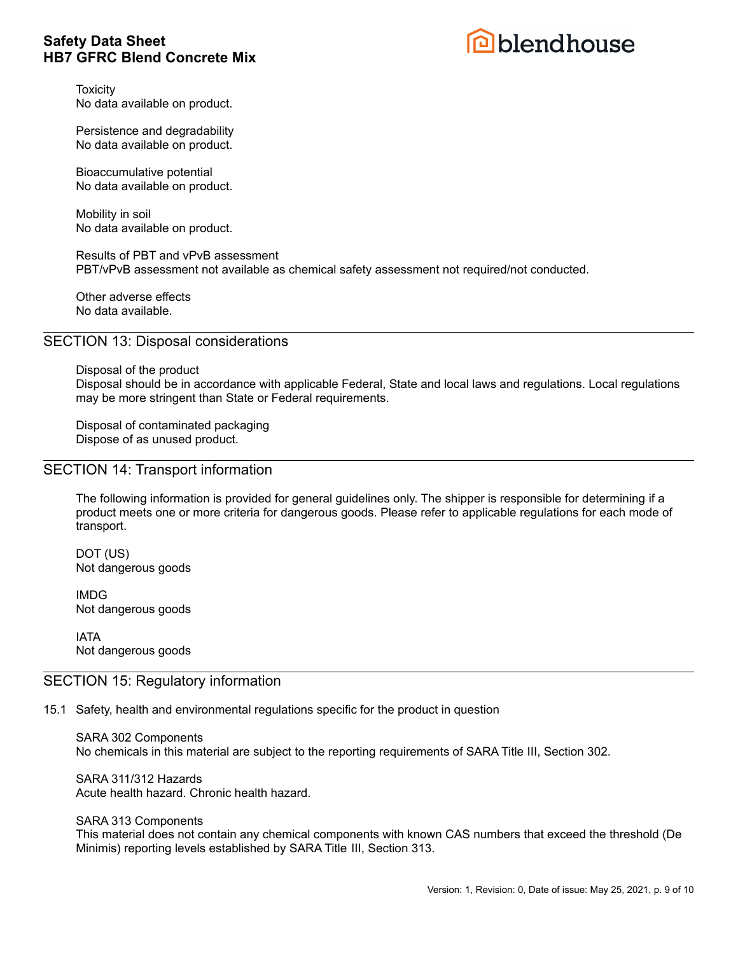

**Toxicity** No data available on product.

Persistence and degradability No data available on product.

Bioaccumulative potential No data available on product.

Mobility in soil No data available on product.

Results of PBT and vPvB assessment PBT/vPvB assessment not available as chemical safety assessment not required/not conducted.

Other adverse effects No data available.

### SECTION 13: Disposal considerations

Disposal of the product Disposal should be in accordance with applicable Federal, State and local laws and regulations. Local regulations may be more stringent than State or Federal requirements.

Disposal of contaminated packaging Dispose of as unused product.

### SECTION 14: Transport information

The following information is provided for general guidelines only. The shipper is responsible for determining if a product meets one or more criteria for dangerous goods. Please refer to applicable regulations for each mode of transport.

DOT (US) Not dangerous goods

IMDG Not dangerous goods

IATA Not dangerous goods

#### SECTION 15: Regulatory information

#### 15.1 Safety, health and environmental regulations specific for the product in question

SARA 302 Components No chemicals in this material are subject to the reporting requirements of SARA Title III, Section 302.

SARA 311/312 Hazards Acute health hazard. Chronic health hazard.

SARA 313 Components

This material does not contain any chemical components with known CAS numbers that exceed the threshold (De Minimis) reporting levels established by SARA Title III, Section 313.